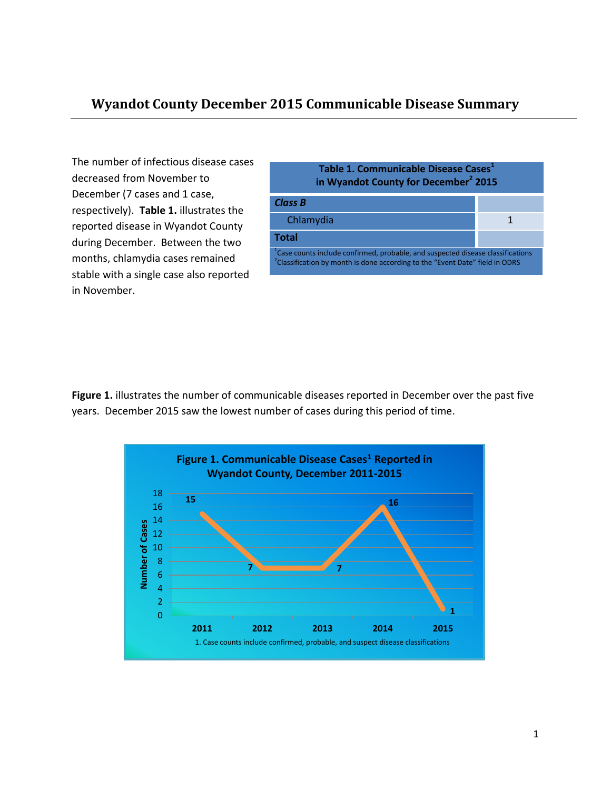The number of infectious disease cases decreased from November to December (7 cases and 1 case, respectively). **Table 1.** illustrates the reported disease in Wyandot County during December. Between the two months, chlamydia cases remained stable with a single case also reported in November.



**Figure 1.** illustrates the number of communicable diseases reported in December over the past five years. December 2015 saw the lowest number of cases during this period of time.